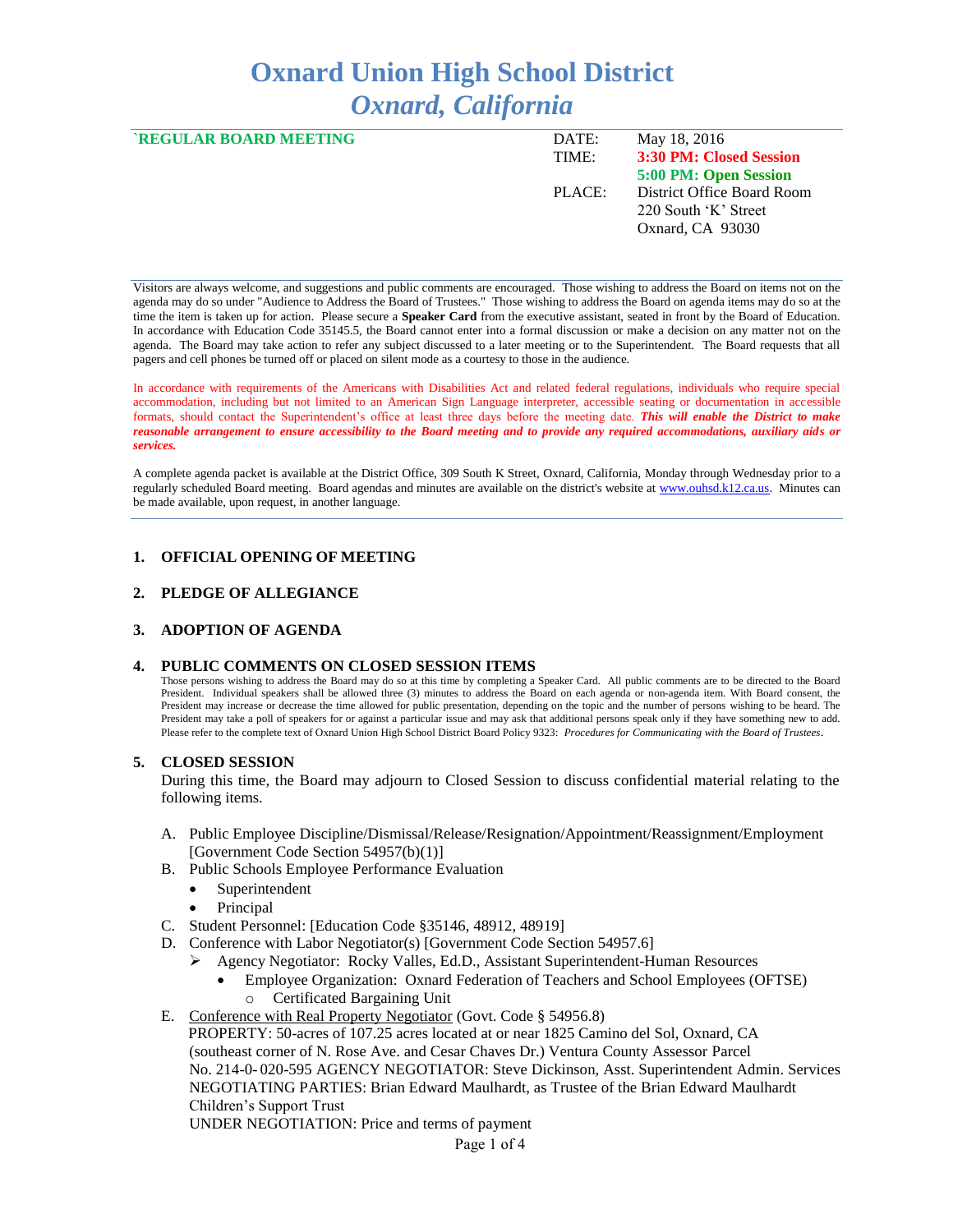# **Oxnard Union High School District** *Oxnard, California*

| <b>REGULAR BOARD MEETING</b> | DATE:<br>TIME: | May 18, 2016<br>3:30 PM: Closed Session                                |
|------------------------------|----------------|------------------------------------------------------------------------|
|                              |                | 5:00 PM: Open Session                                                  |
|                              | PLACE:         | District Office Board Room<br>220 South 'K' Street<br>Oxnard, CA 93030 |

Visitors are always welcome, and suggestions and public comments are encouraged. Those wishing to address the Board on items not on the agenda may do so under "Audience to Address the Board of Trustees." Those wishing to address the Board on agenda items may do so at the time the item is taken up for action. Please secure a **Speaker Card** from the executive assistant, seated in front by the Board of Education. In accordance with Education Code 35145.5, the Board cannot enter into a formal discussion or make a decision on any matter not on the agenda. The Board may take action to refer any subject discussed to a later meeting or to the Superintendent. The Board requests that all pagers and cell phones be turned off or placed on silent mode as a courtesy to those in the audience.

In accordance with requirements of the Americans with Disabilities Act and related federal regulations, individuals who require special accommodation, including but not limited to an American Sign Language interpreter, accessible seating or documentation in accessible formats, should contact the Superintendent's office at least three days before the meeting date. *This will enable the District to make reasonable arrangement to ensure accessibility to the Board meeting and to provide any required accommodations, auxiliary aids or services.* 

A complete agenda packet is available at the District Office, 309 South K Street, Oxnard, California, Monday through Wednesday prior to a regularly scheduled Board meeting. Board agendas and minutes are available on the district's website a[t www.ouhsd.k12.ca.us.](http://www.ouhsd.k12.ca.us/)Minutes can be made available, upon request, in another language.

#### **1. OFFICIAL OPENING OF MEETING**

#### **2. PLEDGE OF ALLEGIANCE**

#### **3. ADOPTION OF AGENDA**

#### **4. PUBLIC COMMENTS ON CLOSED SESSION ITEMS**

Those persons wishing to address the Board may do so at this time by completing a Speaker Card. All public comments are to be directed to the Board President. Individual speakers shall be allowed three (3) minutes to address the Board on each agenda or non-agenda item. With Board consent, the President may increase or decrease the time allowed for public presentation, depending on the topic and the number of persons wishing to be heard. The President may take a poll of speakers for or against a particular issue and may ask that additional persons speak only if they have something new to add. Please refer to the complete text of Oxnard Union High School District Board Policy 9323: *Procedures for Communicating with the Board of Trustees*.

#### **5. CLOSED SESSION**

During this time, the Board may adjourn to Closed Session to discuss confidential material relating to the following items.

- A. Public Employee Discipline/Dismissal/Release/Resignation/Appointment/Reassignment/Employment [Government Code Section 54957(b)(1)]
- B. Public Schools Employee Performance Evaluation
	- Superintendent
		- Principal
- C. Student Personnel: [Education Code §35146, 48912, 48919]
- D. Conference with Labor Negotiator(s) [Government Code Section 54957.6]
	- Agency Negotiator: Rocky Valles, Ed.D., Assistant Superintendent-Human Resources
		- Employee Organization: Oxnard Federation of Teachers and School Employees (OFTSE) o Certificated Bargaining Unit
- E. Conference with Real Property Negotiator (Govt. Code § 54956.8)

 PROPERTY: 50-acres of 107.25 acres located at or near 1825 Camino del Sol, Oxnard, CA (southeast corner of N. Rose Ave. and Cesar Chaves Dr.) Ventura County Assessor Parcel No. 214-0- 020-595 AGENCY NEGOTIATOR: Steve Dickinson, Asst. Superintendent Admin. Services NEGOTIATING PARTIES: Brian Edward Maulhardt, as Trustee of the Brian Edward Maulhardt Children's Support Trust UNDER NEGOTIATION: Price and terms of payment

Page 1 of 4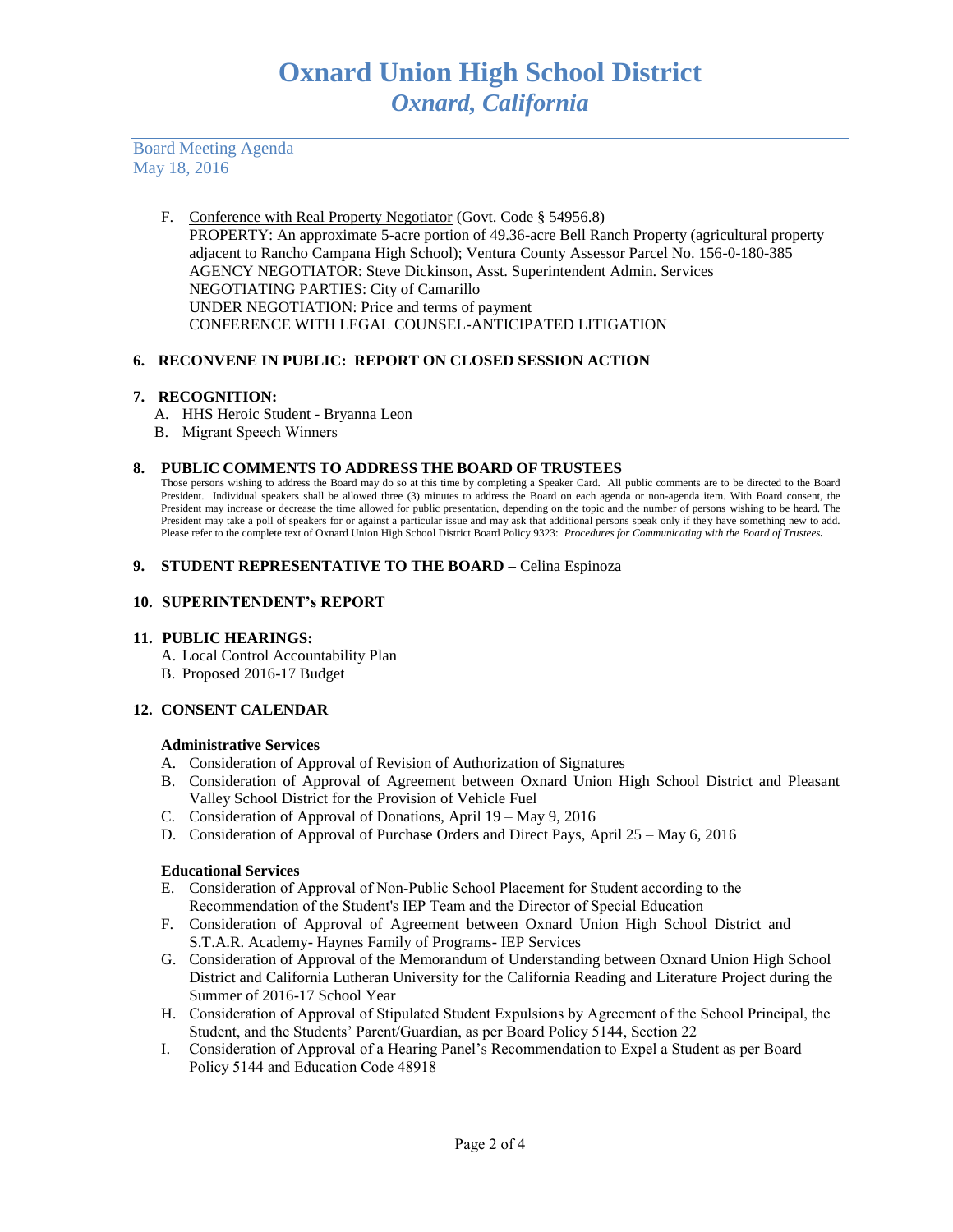Board Meeting Agenda May 18, 2016

> F. Conference with Real Property Negotiator (Govt. Code § 54956.8) PROPERTY: An approximate 5-acre portion of 49.36-acre Bell Ranch Property (agricultural property adjacent to Rancho Campana High School); Ventura County Assessor Parcel No. 156-0-180-385 AGENCY NEGOTIATOR: Steve Dickinson, Asst. Superintendent Admin. Services NEGOTIATING PARTIES: City of Camarillo UNDER NEGOTIATION: Price and terms of payment CONFERENCE WITH LEGAL COUNSEL-ANTICIPATED LITIGATION

## **6. RECONVENE IN PUBLIC: REPORT ON CLOSED SESSION ACTION**

## **7. RECOGNITION:**

- A. HHS Heroic Student Bryanna Leon
- B. Migrant Speech Winners

#### **8. PUBLIC COMMENTS TO ADDRESS THE BOARD OF TRUSTEES**

Those persons wishing to address the Board may do so at this time by completing a Speaker Card. All public comments are to be directed to the Board President. Individual speakers shall be allowed three (3) minutes to address the Board on each agenda or non-agenda item. With Board consent, the President may increase or decrease the time allowed for public presentation, depending on the topic and the number of persons wishing to be heard. The President may take a poll of speakers for or against a particular issue and may ask that additional persons speak only if they have something new to add. Please refer to the complete text of Oxnard Union High School District Board Policy 9323: *Procedures for Communicating with the Board of Trustees.*

#### **9. STUDENT REPRESENTATIVE TO THE BOARD –** Celina Espinoza

## **10. SUPERINTENDENT's REPORT**

## **11. PUBLIC HEARINGS:**

- A. Local Control Accountability Plan
- B. Proposed 2016-17 Budget

## **12. CONSENT CALENDAR**

## **Administrative Services**

- A. Consideration of Approval of Revision of Authorization of Signatures
- B. Consideration of Approval of Agreement between Oxnard Union High School District and Pleasant Valley School District for the Provision of Vehicle Fuel
- C. Consideration of Approval of Donations, April 19 May 9, 2016
- D. Consideration of Approval of Purchase Orders and Direct Pays, April 25 May 6, 2016

## **Educational Services**

- E. Consideration of Approval of Non-Public School Placement for Student according to the Recommendation of the Student's IEP Team and the Director of Special Education
- F. Consideration of Approval of Agreement between Oxnard Union High School District and S.T.A.R. Academy- Haynes Family of Programs- IEP Services
- G. Consideration of Approval of the Memorandum of Understanding between Oxnard Union High School District and California Lutheran University for the California Reading and Literature Project during the Summer of 2016-17 School Year
- H. Consideration of Approval of Stipulated Student Expulsions by Agreement of the School Principal, the Student, and the Students' Parent/Guardian, as per Board Policy 5144, Section 22
- I. Consideration of Approval of a Hearing Panel's Recommendation to Expel a Student as per Board Policy 5144 and Education Code 48918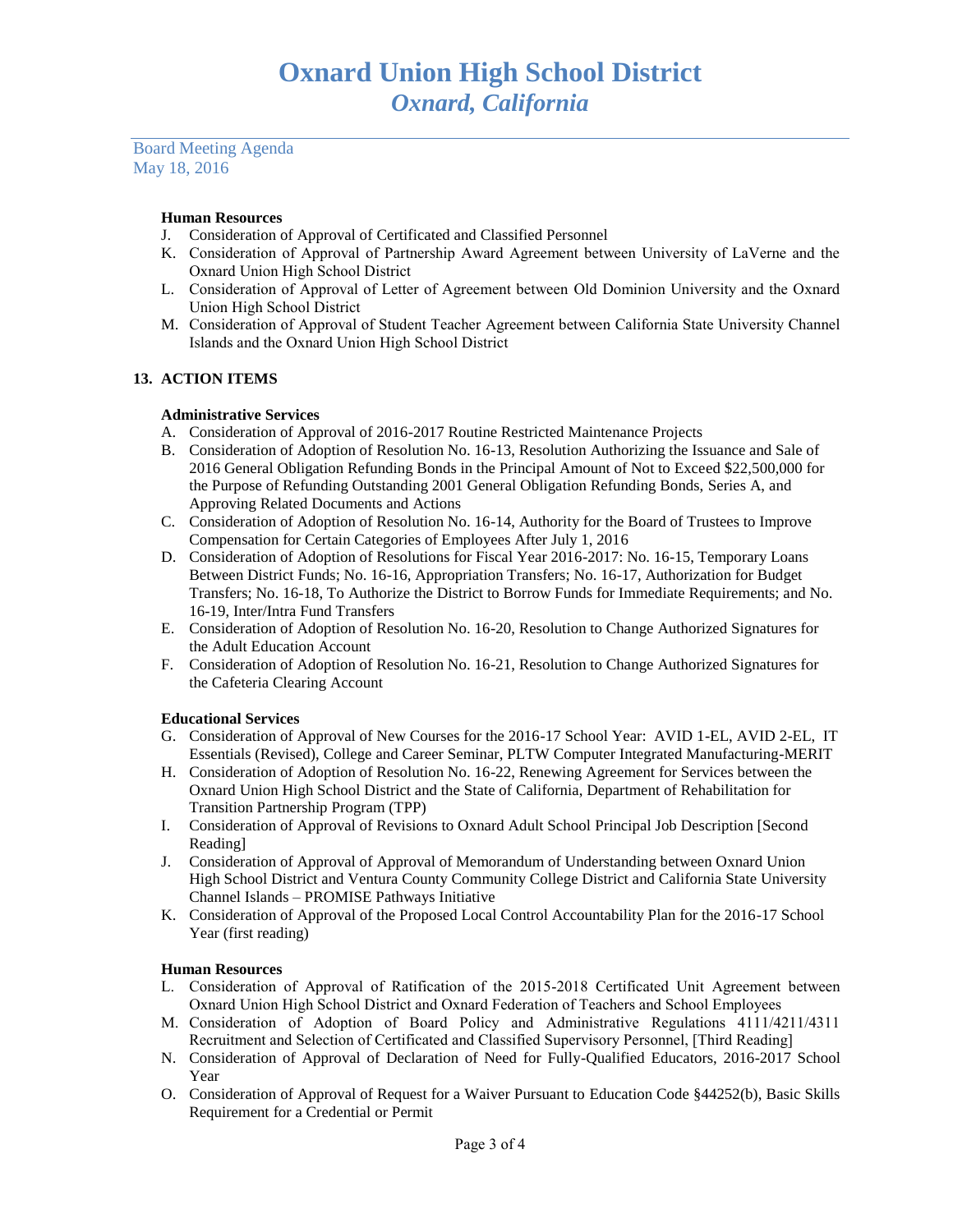Board Meeting Agenda May 18, 2016

## **Human Resources**

- J. Consideration of Approval of Certificated and Classified Personnel
- K. Consideration of Approval of Partnership Award Agreement between University of LaVerne and the Oxnard Union High School District
- L. Consideration of Approval of Letter of Agreement between Old Dominion University and the Oxnard Union High School District
- M. Consideration of Approval of Student Teacher Agreement between California State University Channel Islands and the Oxnard Union High School District

## **13. ACTION ITEMS**

## **Administrative Services**

- A. Consideration of Approval of 2016-2017 Routine Restricted Maintenance Projects
- B. Consideration of Adoption of Resolution No. 16-13, Resolution Authorizing the Issuance and Sale of 2016 General Obligation Refunding Bonds in the Principal Amount of Not to Exceed \$22,500,000 for the Purpose of Refunding Outstanding 2001 General Obligation Refunding Bonds, Series A, and Approving Related Documents and Actions
- C. Consideration of Adoption of Resolution No. 16-14, Authority for the Board of Trustees to Improve Compensation for Certain Categories of Employees After July 1, 2016
- D. Consideration of Adoption of Resolutions for Fiscal Year 2016-2017: No. 16-15, Temporary Loans Between District Funds; No. 16-16, Appropriation Transfers; No. 16-17, Authorization for Budget Transfers; No. 16-18, To Authorize the District to Borrow Funds for Immediate Requirements; and No. 16-19, Inter/Intra Fund Transfers
- E. Consideration of Adoption of Resolution No. 16-20, Resolution to Change Authorized Signatures for the Adult Education Account
- F. Consideration of Adoption of Resolution No. 16-21, Resolution to Change Authorized Signatures for the Cafeteria Clearing Account

## **Educational Services**

- G. Consideration of Approval of New Courses for the 2016-17 School Year: AVID 1-EL, AVID 2-EL, IT Essentials (Revised), College and Career Seminar, PLTW Computer Integrated Manufacturing-MERIT
- H. Consideration of Adoption of Resolution No. 16-22, Renewing Agreement for Services between the Oxnard Union High School District and the State of California, Department of Rehabilitation for Transition Partnership Program (TPP)
- I. Consideration of Approval of Revisions to Oxnard Adult School Principal Job Description [Second Reading]
- J. Consideration of Approval of Approval of Memorandum of Understanding between Oxnard Union High School District and Ventura County Community College District and California State University Channel Islands – PROMISE Pathways Initiative
- K. Consideration of Approval of the Proposed Local Control Accountability Plan for the 2016-17 School Year (first reading)

## **Human Resources**

- L. Consideration of Approval of Ratification of the 2015-2018 Certificated Unit Agreement between Oxnard Union High School District and Oxnard Federation of Teachers and School Employees
- M. Consideration of Adoption of Board Policy and Administrative Regulations 4111/4211/4311 Recruitment and Selection of Certificated and Classified Supervisory Personnel, [Third Reading]
- N. Consideration of Approval of Declaration of Need for Fully-Qualified Educators, 2016-2017 School Year
- O. Consideration of Approval of Request for a Waiver Pursuant to Education Code §44252(b), Basic Skills Requirement for a Credential or Permit